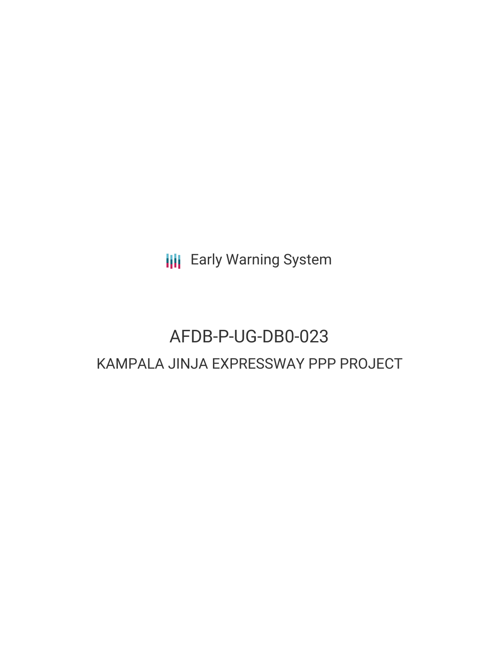**III** Early Warning System

# AFDB-P-UG-DB0-023 KAMPALA JINJA EXPRESSWAY PPP PROJECT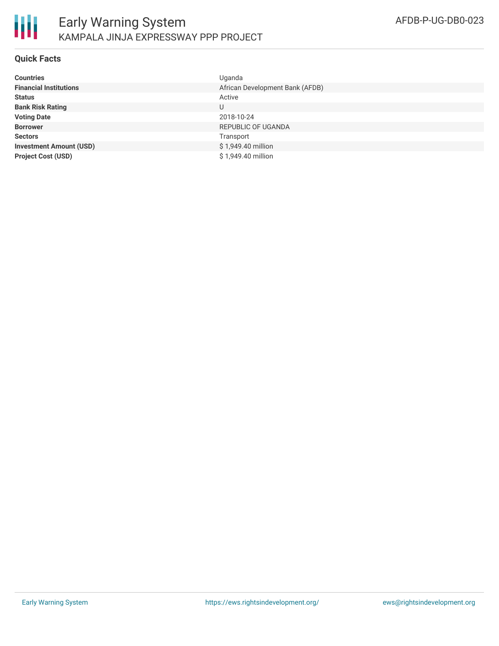

## **Quick Facts**

| <b>Countries</b>               | Uganda                          |
|--------------------------------|---------------------------------|
| <b>Financial Institutions</b>  | African Development Bank (AFDB) |
| <b>Status</b>                  | Active                          |
| <b>Bank Risk Rating</b>        | U                               |
| <b>Voting Date</b>             | 2018-10-24                      |
| <b>Borrower</b>                | <b>REPUBLIC OF UGANDA</b>       |
| <b>Sectors</b>                 | Transport                       |
| <b>Investment Amount (USD)</b> | \$1,949.40 million              |
| <b>Project Cost (USD)</b>      | \$1,949.40 million              |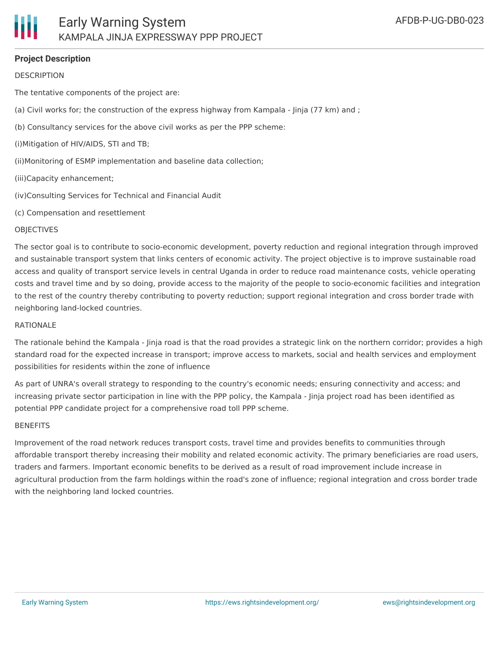## **Project Description**

## **DESCRIPTION**

The tentative components of the project are:

- (a) Civil works for; the construction of the express highway from Kampala Jinja (77 km) and ;
- (b) Consultancy services for the above civil works as per the PPP scheme:
- (i)Mitigation of HIV/AIDS, STI and TB;
- (ii)Monitoring of ESMP implementation and baseline data collection;
- (iii)Capacity enhancement;
- (iv)Consulting Services for Technical and Financial Audit
- (c) Compensation and resettlement

#### **OBJECTIVES**

The sector goal is to contribute to socio-economic development, poverty reduction and regional integration through improved and sustainable transport system that links centers of economic activity. The project objective is to improve sustainable road access and quality of transport service levels in central Uganda in order to reduce road maintenance costs, vehicle operating costs and travel time and by so doing, provide access to the majority of the people to socio-economic facilities and integration to the rest of the country thereby contributing to poverty reduction; support regional integration and cross border trade with neighboring land-locked countries.

#### RATIONALE

The rationale behind the Kampala - Jinja road is that the road provides a strategic link on the northern corridor; provides a high standard road for the expected increase in transport; improve access to markets, social and health services and employment possibilities for residents within the zone of influence

As part of UNRA's overall strategy to responding to the country's economic needs; ensuring connectivity and access; and increasing private sector participation in line with the PPP policy, the Kampala - Jinja project road has been identified as potential PPP candidate project for a comprehensive road toll PPP scheme.

#### BENEFITS

Improvement of the road network reduces transport costs, travel time and provides benefits to communities through affordable transport thereby increasing their mobility and related economic activity. The primary beneficiaries are road users, traders and farmers. Important economic benefits to be derived as a result of road improvement include increase in agricultural production from the farm holdings within the road's zone of influence; regional integration and cross border trade with the neighboring land locked countries.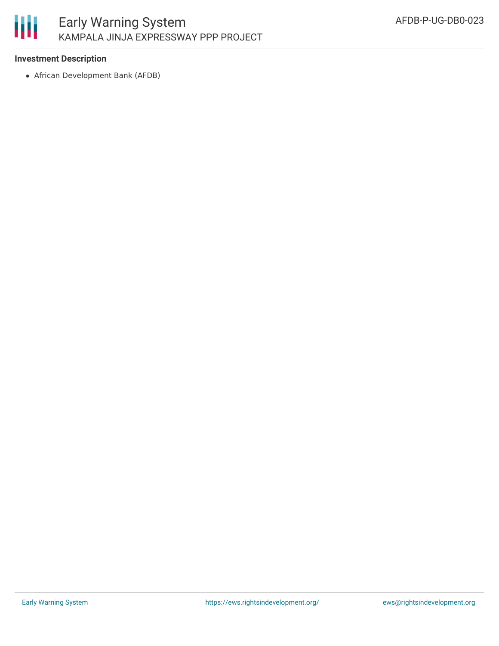

# **Investment Description**

African Development Bank (AFDB)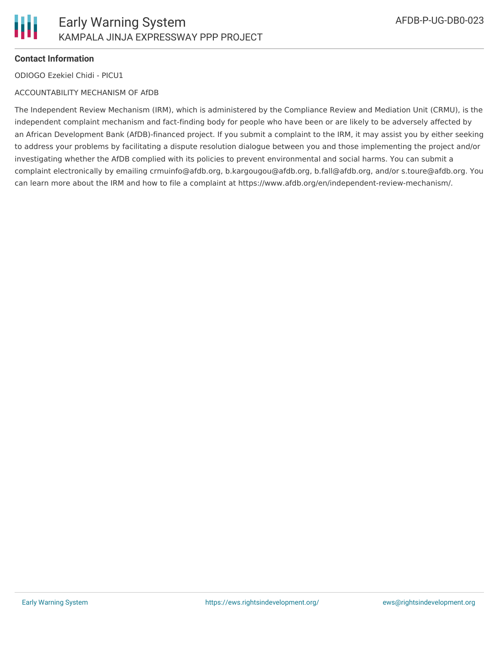

# **Contact Information**

ODIOGO Ezekiel Chidi - PICU1

## ACCOUNTABILITY MECHANISM OF AfDB

The Independent Review Mechanism (IRM), which is administered by the Compliance Review and Mediation Unit (CRMU), is the independent complaint mechanism and fact-finding body for people who have been or are likely to be adversely affected by an African Development Bank (AfDB)-financed project. If you submit a complaint to the IRM, it may assist you by either seeking to address your problems by facilitating a dispute resolution dialogue between you and those implementing the project and/or investigating whether the AfDB complied with its policies to prevent environmental and social harms. You can submit a complaint electronically by emailing crmuinfo@afdb.org, b.kargougou@afdb.org, b.fall@afdb.org, and/or s.toure@afdb.org. You can learn more about the IRM and how to file a complaint at https://www.afdb.org/en/independent-review-mechanism/.